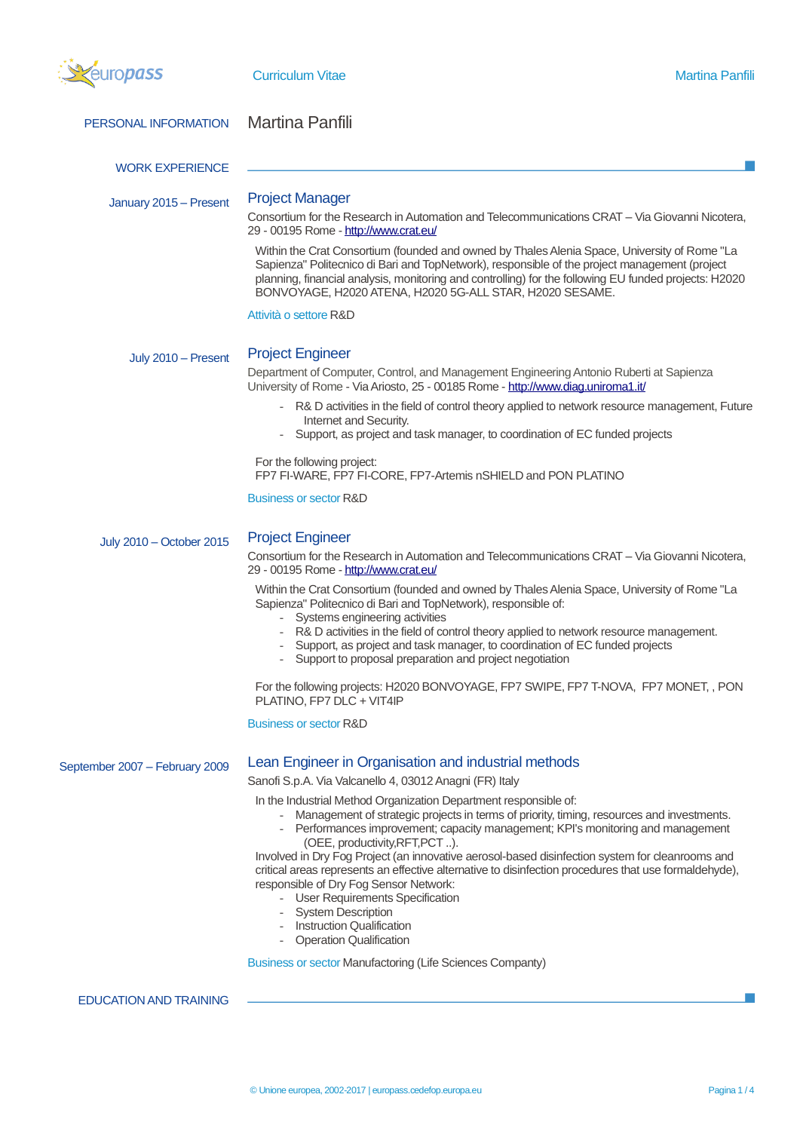| europass                       | <b>Curriculum Vitae</b>                                                                                                                                                                                                                                                                                                                                                                                                                                                                                                                                                                                                                                                                                                           | <b>Martina Panfili</b> |
|--------------------------------|-----------------------------------------------------------------------------------------------------------------------------------------------------------------------------------------------------------------------------------------------------------------------------------------------------------------------------------------------------------------------------------------------------------------------------------------------------------------------------------------------------------------------------------------------------------------------------------------------------------------------------------------------------------------------------------------------------------------------------------|------------------------|
| PERSONAL INFORMATION           | <b>Martina Panfili</b>                                                                                                                                                                                                                                                                                                                                                                                                                                                                                                                                                                                                                                                                                                            |                        |
| <b>WORK EXPERIENCE</b>         |                                                                                                                                                                                                                                                                                                                                                                                                                                                                                                                                                                                                                                                                                                                                   |                        |
| January 2015 - Present         | <b>Project Manager</b><br>Consortium for the Research in Automation and Telecommunications CRAT - Via Giovanni Nicotera,<br>29 - 00195 Rome - http://www.crat.eu/                                                                                                                                                                                                                                                                                                                                                                                                                                                                                                                                                                 |                        |
|                                | Within the Crat Consortium (founded and owned by Thales Alenia Space, University of Rome "La<br>Sapienza" Politecnico di Bari and TopNetwork), responsible of the project management (project<br>planning, financial analysis, monitoring and controlling) for the following EU funded projects: H2020<br>BONVOYAGE, H2020 ATENA, H2020 5G-ALL STAR, H2020 SESAME.                                                                                                                                                                                                                                                                                                                                                                |                        |
|                                | Attività o settore R&D                                                                                                                                                                                                                                                                                                                                                                                                                                                                                                                                                                                                                                                                                                            |                        |
| July 2010 - Present            | <b>Project Engineer</b><br>Department of Computer, Control, and Management Engineering Antonio Ruberti at Sapienza<br>University of Rome - Via Ariosto, 25 - 00185 Rome - http://www.diag.uniroma1.it/                                                                                                                                                                                                                                                                                                                                                                                                                                                                                                                            |                        |
|                                | - R& D activities in the field of control theory applied to network resource management, Future<br>Internet and Security.<br>Support, as project and task manager, to coordination of EC funded projects                                                                                                                                                                                                                                                                                                                                                                                                                                                                                                                          |                        |
|                                | For the following project:<br>FP7 FI-WARE, FP7 FI-CORE, FP7-Artemis nSHIELD and PON PLATINO                                                                                                                                                                                                                                                                                                                                                                                                                                                                                                                                                                                                                                       |                        |
|                                | Business or sector R&D                                                                                                                                                                                                                                                                                                                                                                                                                                                                                                                                                                                                                                                                                                            |                        |
| July 2010 - October 2015       | <b>Project Engineer</b><br>Consortium for the Research in Automation and Telecommunications CRAT - Via Giovanni Nicotera,<br>29 - 00195 Rome - http://www.crat.eu/                                                                                                                                                                                                                                                                                                                                                                                                                                                                                                                                                                |                        |
|                                | Within the Crat Consortium (founded and owned by Thales Alenia Space, University of Rome "La<br>Sapienza" Politecnico di Bari and TopNetwork), responsible of:<br>- Systems engineering activities<br>R& D activities in the field of control theory applied to network resource management.<br>Support, as project and task manager, to coordination of EC funded projects<br>- Support to proposal preparation and project negotiation                                                                                                                                                                                                                                                                                          |                        |
|                                | For the following projects: H2020 BONVOYAGE, FP7 SWIPE, FP7 T-NOVA, FP7 MONET, , PON<br>PLATINO, FP7 DLC + VIT4IP                                                                                                                                                                                                                                                                                                                                                                                                                                                                                                                                                                                                                 |                        |
|                                | <b>Business or sector R&amp;D</b>                                                                                                                                                                                                                                                                                                                                                                                                                                                                                                                                                                                                                                                                                                 |                        |
| September 2007 - February 2009 | Lean Engineer in Organisation and industrial methods<br>Sanofi S.p.A. Via Valcanello 4, 03012 Anagni (FR) Italy                                                                                                                                                                                                                                                                                                                                                                                                                                                                                                                                                                                                                   |                        |
|                                | In the Industrial Method Organization Department responsible of:<br>- Management of strategic projects in terms of priority, timing, resources and investments.<br>- Performances improvement; capacity management; KPI's monitoring and management<br>(OEE, productivity, RFT, PCT).<br>Involved in Dry Fog Project (an innovative aerosol-based disinfection system for cleanrooms and<br>critical areas represents an effective alternative to disinfection procedures that use formaldehyde),<br>responsible of Dry Fog Sensor Network:<br>- User Requirements Specification<br>- System Description<br>- Instruction Qualification<br>- Operation Qualification<br>Business or sector Manufactoring (Life Sciences Companty) |                        |
| <b>EDUCATION AND TRAINING</b>  |                                                                                                                                                                                                                                                                                                                                                                                                                                                                                                                                                                                                                                                                                                                                   |                        |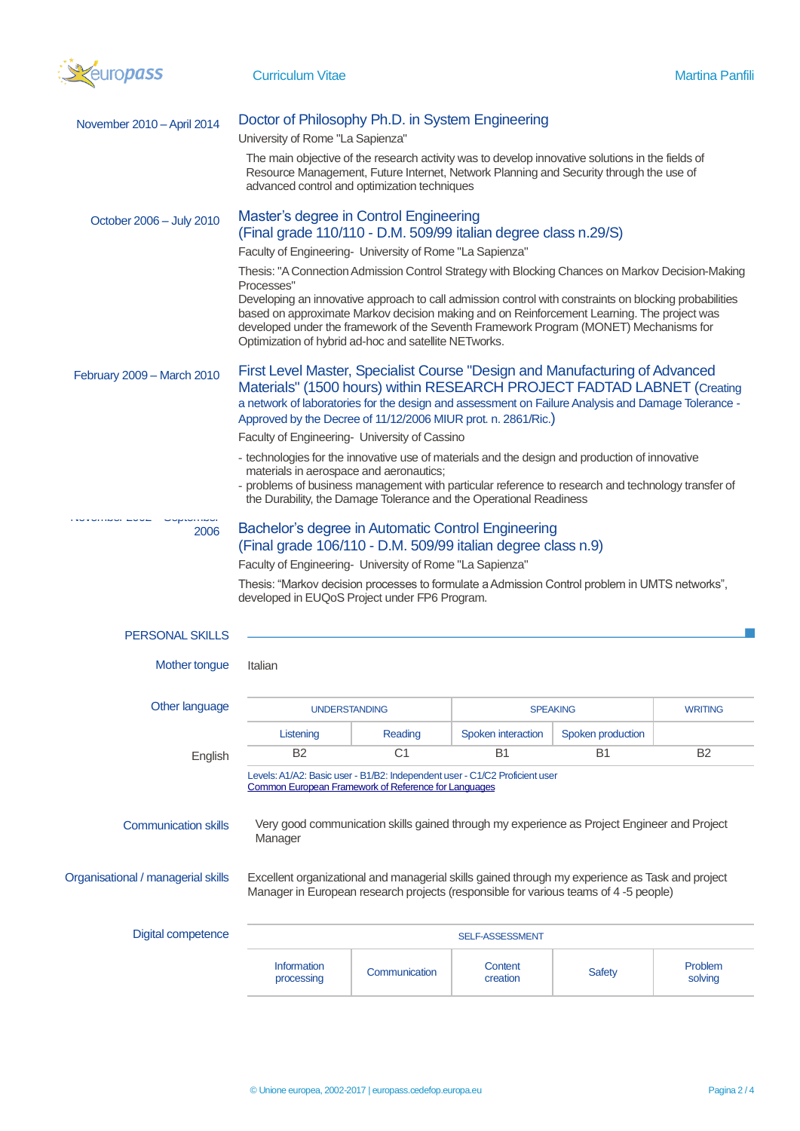

| November 2010 - April 2014         | Doctor of Philosophy Ph.D. in System Engineering                                                                                                                                                                                                                                                                                                                               |                                                                                                                                     |                     |                   |                    |  |  |
|------------------------------------|--------------------------------------------------------------------------------------------------------------------------------------------------------------------------------------------------------------------------------------------------------------------------------------------------------------------------------------------------------------------------------|-------------------------------------------------------------------------------------------------------------------------------------|---------------------|-------------------|--------------------|--|--|
|                                    | University of Rome "La Sapienza"                                                                                                                                                                                                                                                                                                                                               |                                                                                                                                     |                     |                   |                    |  |  |
|                                    | The main objective of the research activity was to develop innovative solutions in the fields of<br>Resource Management, Future Internet, Network Planning and Security through the use of<br>advanced control and optimization techniques                                                                                                                                     |                                                                                                                                     |                     |                   |                    |  |  |
| October 2006 - July 2010           | Master's degree in Control Engineering<br>(Final grade 110/110 - D.M. 509/99 italian degree class n.29/S)                                                                                                                                                                                                                                                                      |                                                                                                                                     |                     |                   |                    |  |  |
|                                    | Faculty of Engineering- University of Rome "La Sapienza"                                                                                                                                                                                                                                                                                                                       |                                                                                                                                     |                     |                   |                    |  |  |
|                                    | Thesis: "A Connection Admission Control Strategy with Blocking Chances on Markov Decision-Making                                                                                                                                                                                                                                                                               |                                                                                                                                     |                     |                   |                    |  |  |
|                                    | Processes"<br>Developing an innovative approach to call admission control with constraints on blocking probabilities<br>based on approximate Markov decision making and on Reinforcement Learning. The project was<br>developed under the framework of the Seventh Framework Program (MONET) Mechanisms for<br>Optimization of hybrid ad-hoc and satellite NETworks.           |                                                                                                                                     |                     |                   |                    |  |  |
| February 2009 - March 2010         | First Level Master, Specialist Course "Design and Manufacturing of Advanced<br>Materials" (1500 hours) within RESEARCH PROJECT FADTAD LABNET (Creating<br>a network of laboratories for the design and assessment on Failure Analysis and Damage Tolerance -<br>Approved by the Decree of 11/12/2006 MIUR prot. n. 2861/Ric.)<br>Faculty of Engineering- University of Cassino |                                                                                                                                     |                     |                   |                    |  |  |
|                                    | - technologies for the innovative use of materials and the design and production of innovative<br>materials in aerospace and aeronautics;<br>- problems of business management with particular reference to research and technology transfer of<br>the Durability, the Damage Tolerance and the Operational Readiness                                                          |                                                                                                                                     |                     |                   |                    |  |  |
| 2006                               | Bachelor's degree in Automatic Control Engineering<br>(Final grade 106/110 - D.M. 509/99 italian degree class n.9)                                                                                                                                                                                                                                                             |                                                                                                                                     |                     |                   |                    |  |  |
|                                    | Faculty of Engineering- University of Rome "La Sapienza"<br>Thesis: "Markov decision processes to formulate a Admission Control problem in UMTS networks",<br>developed in EUQoS Project under FP6 Program.                                                                                                                                                                    |                                                                                                                                     |                     |                   |                    |  |  |
| <b>PERSONAL SKILLS</b>             |                                                                                                                                                                                                                                                                                                                                                                                |                                                                                                                                     |                     |                   |                    |  |  |
| Mother tongue                      | Italian                                                                                                                                                                                                                                                                                                                                                                        |                                                                                                                                     |                     |                   |                    |  |  |
| Other language                     |                                                                                                                                                                                                                                                                                                                                                                                | <b>UNDERSTANDING</b>                                                                                                                | <b>SPEAKING</b>     |                   | <b>WRITING</b>     |  |  |
|                                    | Listening                                                                                                                                                                                                                                                                                                                                                                      | Reading                                                                                                                             | Spoken interaction  | Spoken production |                    |  |  |
| English                            | <b>B2</b>                                                                                                                                                                                                                                                                                                                                                                      | C <sub>1</sub>                                                                                                                      | <b>B1</b>           | <b>B1</b>         | B <sub>2</sub>     |  |  |
|                                    |                                                                                                                                                                                                                                                                                                                                                                                | Levels: A1/A2: Basic user - B1/B2: Independent user - C1/C2 Proficient user<br>Common European Framework of Reference for Languages |                     |                   |                    |  |  |
| <b>Communication skills</b>        | Very good communication skills gained through my experience as Project Engineer and Project<br>Manager                                                                                                                                                                                                                                                                         |                                                                                                                                     |                     |                   |                    |  |  |
| Organisational / managerial skills | Excellent organizational and managerial skills gained through my experience as Task and project<br>Manager in European research projects (responsible for various teams of 4-5 people)                                                                                                                                                                                         |                                                                                                                                     |                     |                   |                    |  |  |
| Digital competence                 | SELF-ASSESSMENT                                                                                                                                                                                                                                                                                                                                                                |                                                                                                                                     |                     |                   |                    |  |  |
|                                    | <b>Information</b><br>processing                                                                                                                                                                                                                                                                                                                                               | Communication                                                                                                                       | Content<br>creation | <b>Safety</b>     | Problem<br>solving |  |  |
|                                    |                                                                                                                                                                                                                                                                                                                                                                                |                                                                                                                                     |                     |                   |                    |  |  |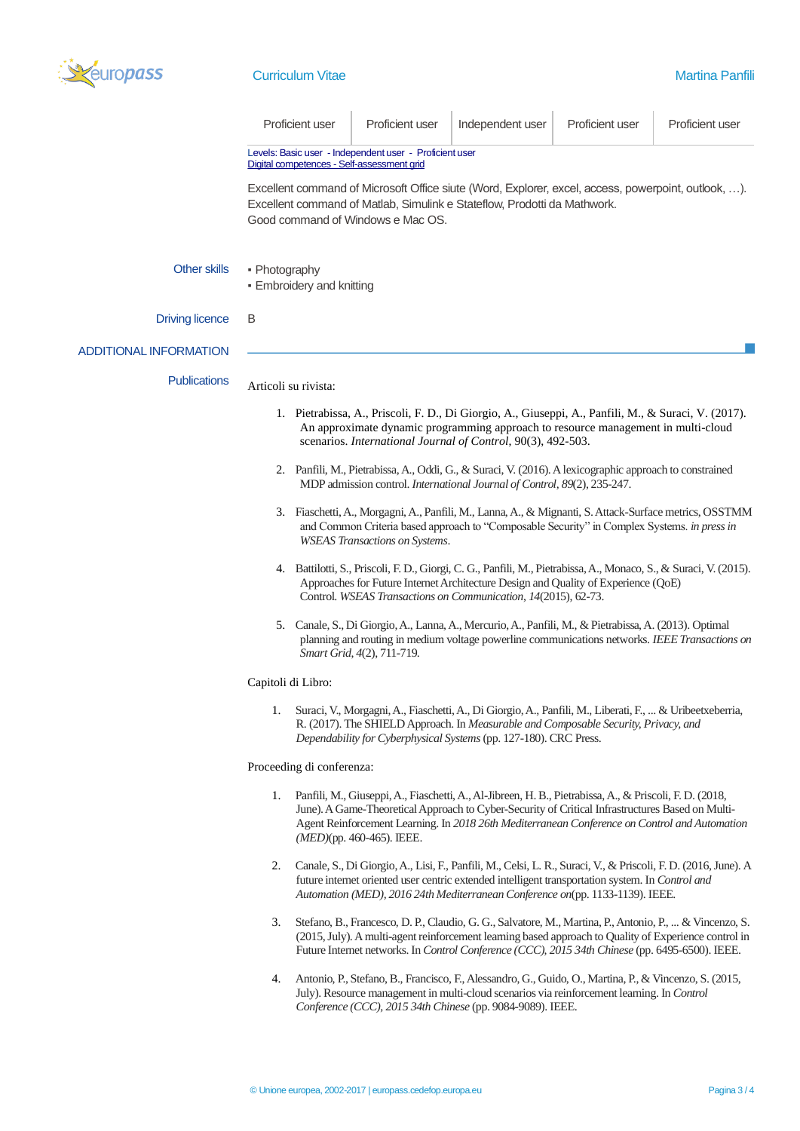

|                               | Proficient user                                                                                                                                                                                                                                                                                                                                                                                                                                                                                                                           | Proficient user                                                                                                                                                                                                                                                      | Independent user                                                                                                                                                                                                                                                                                             | Proficient user | Proficient user |  |  |  |  |
|-------------------------------|-------------------------------------------------------------------------------------------------------------------------------------------------------------------------------------------------------------------------------------------------------------------------------------------------------------------------------------------------------------------------------------------------------------------------------------------------------------------------------------------------------------------------------------------|----------------------------------------------------------------------------------------------------------------------------------------------------------------------------------------------------------------------------------------------------------------------|--------------------------------------------------------------------------------------------------------------------------------------------------------------------------------------------------------------------------------------------------------------------------------------------------------------|-----------------|-----------------|--|--|--|--|
|                               | Levels: Basic user - Independent user - Proficient user<br>Digital competences - Self-assessment grid                                                                                                                                                                                                                                                                                                                                                                                                                                     |                                                                                                                                                                                                                                                                      |                                                                                                                                                                                                                                                                                                              |                 |                 |  |  |  |  |
|                               | Excellent command of Microsoft Office siute (Word, Explorer, excel, access, powerpoint, outlook, ).<br>Excellent command of Matlab, Simulink e Stateflow, Prodotti da Mathwork.<br>Good command of Windows e Mac OS.                                                                                                                                                                                                                                                                                                                      |                                                                                                                                                                                                                                                                      |                                                                                                                                                                                                                                                                                                              |                 |                 |  |  |  |  |
| <b>Other skills</b>           | • Photography<br>• Embroidery and knitting                                                                                                                                                                                                                                                                                                                                                                                                                                                                                                |                                                                                                                                                                                                                                                                      |                                                                                                                                                                                                                                                                                                              |                 |                 |  |  |  |  |
| <b>Driving licence</b>        | B                                                                                                                                                                                                                                                                                                                                                                                                                                                                                                                                         |                                                                                                                                                                                                                                                                      |                                                                                                                                                                                                                                                                                                              |                 |                 |  |  |  |  |
| <b>ADDITIONAL INFORMATION</b> |                                                                                                                                                                                                                                                                                                                                                                                                                                                                                                                                           |                                                                                                                                                                                                                                                                      |                                                                                                                                                                                                                                                                                                              |                 |                 |  |  |  |  |
| <b>Publications</b>           | Articoli su rivista:                                                                                                                                                                                                                                                                                                                                                                                                                                                                                                                      |                                                                                                                                                                                                                                                                      |                                                                                                                                                                                                                                                                                                              |                 |                 |  |  |  |  |
|                               | 1. Pietrabissa, A., Priscoli, F. D., Di Giorgio, A., Giuseppi, A., Panfili, M., & Suraci, V. (2017).<br>An approximate dynamic programming approach to resource management in multi-cloud<br>scenarios. International Journal of Control, 90(3), 492-503.                                                                                                                                                                                                                                                                                 |                                                                                                                                                                                                                                                                      |                                                                                                                                                                                                                                                                                                              |                 |                 |  |  |  |  |
|                               | 2. Panfili, M., Pietrabissa, A., Oddi, G., & Suraci, V. (2016). A lexicographic approach to constrained<br>MDP admission control. International Journal of Control, 89(2), 235-247.                                                                                                                                                                                                                                                                                                                                                       |                                                                                                                                                                                                                                                                      |                                                                                                                                                                                                                                                                                                              |                 |                 |  |  |  |  |
|                               | 3. Fiaschetti, A., Morgagni, A., Panfili, M., Lanna, A., & Mignanti, S. Attack-Surface metrics, OSSTMM<br>and Common Criteria based approach to "Composable Security" in Complex Systems. in press in<br><b>WSEAS Transactions on Systems.</b>                                                                                                                                                                                                                                                                                            |                                                                                                                                                                                                                                                                      |                                                                                                                                                                                                                                                                                                              |                 |                 |  |  |  |  |
|                               | 4. Battilotti, S., Priscoli, F. D., Giorgi, C. G., Panfili, M., Pietrabissa, A., Monaco, S., & Suraci, V. (2015).<br>Approaches for Future Internet Architecture Design and Quality of Experience (QoE)<br>Control. WSEAS Transactions on Communication, 14(2015), 62-73.<br>5. Canale, S., Di Giorgio, A., Lanna, A., Mercurio, A., Panfili, M., & Pietrabissa, A. (2013). Optimal<br>planning and routing in medium voltage powerline communications networks. IEEE Transactions on<br>Smart Grid, 4(2), 711-719.<br>Capitoli di Libro: |                                                                                                                                                                                                                                                                      |                                                                                                                                                                                                                                                                                                              |                 |                 |  |  |  |  |
|                               |                                                                                                                                                                                                                                                                                                                                                                                                                                                                                                                                           |                                                                                                                                                                                                                                                                      |                                                                                                                                                                                                                                                                                                              |                 |                 |  |  |  |  |
|                               |                                                                                                                                                                                                                                                                                                                                                                                                                                                                                                                                           |                                                                                                                                                                                                                                                                      |                                                                                                                                                                                                                                                                                                              |                 |                 |  |  |  |  |
|                               | 1.                                                                                                                                                                                                                                                                                                                                                                                                                                                                                                                                        | Suraci, V., Morgagni, A., Fiaschetti, A., Di Giorgio, A., Panfili, M., Liberati, F.,  & Uribeetxeberria,<br>R. (2017). The SHIELD Approach. In Measurable and Composable Security, Privacy, and<br>Dependability for Cyberphysical Systems (pp. 127-180). CRC Press. |                                                                                                                                                                                                                                                                                                              |                 |                 |  |  |  |  |
|                               | Proceeding di conferenza:                                                                                                                                                                                                                                                                                                                                                                                                                                                                                                                 |                                                                                                                                                                                                                                                                      |                                                                                                                                                                                                                                                                                                              |                 |                 |  |  |  |  |
|                               | 1.                                                                                                                                                                                                                                                                                                                                                                                                                                                                                                                                        | $(MED)$ (pp. 460-465). IEEE.                                                                                                                                                                                                                                         | Panfili, M., Giuseppi, A., Fiaschetti, A., Al-Jibreen, H. B., Pietrabissa, A., & Priscoli, F. D. (2018,<br>June). A Game-Theoretical Approach to Cyber-Security of Critical Infrastructures Based on Multi-<br>Agent Reinforcement Learning. In 2018 26th Mediterranean Conference on Control and Automation |                 |                 |  |  |  |  |
|                               | Canale, S., Di Giorgio, A., Lisi, F., Panfili, M., Celsi, L. R., Suraci, V., & Priscoli, F. D. (2016, June). A<br>2.<br>future internet oriented user centric extended intelligent transportation system. In Control and<br>Automation (MED), 2016 24th Mediterranean Conference on(pp. 1133-1139). IEEE.                                                                                                                                                                                                                                 |                                                                                                                                                                                                                                                                      |                                                                                                                                                                                                                                                                                                              |                 |                 |  |  |  |  |
|                               | 3.<br>Stefano, B., Francesco, D. P., Claudio, G. G., Salvatore, M., Martina, P., Antonio, P.,  & Vincenzo, S.<br>(2015, July). A multi-agent reinforcement learning based approach to Quality of Experience control in<br>Future Internet networks. In Control Conference (CCC), 2015 34th Chinese (pp. 6495-6500). IEEE.                                                                                                                                                                                                                 |                                                                                                                                                                                                                                                                      |                                                                                                                                                                                                                                                                                                              |                 |                 |  |  |  |  |
|                               | 4.                                                                                                                                                                                                                                                                                                                                                                                                                                                                                                                                        |                                                                                                                                                                                                                                                                      | Antonio, P., Stefano, B., Francisco, F., Alessandro, G., Guido, O., Martina, P., & Vincenzo, S. (2015,<br>July). Resource management in multi-cloud scenarios via reinforcement learning. In Control                                                                                                         |                 |                 |  |  |  |  |

*Conference (CCC), 2015 34th Chinese* (pp. 9084-9089). IEEE.